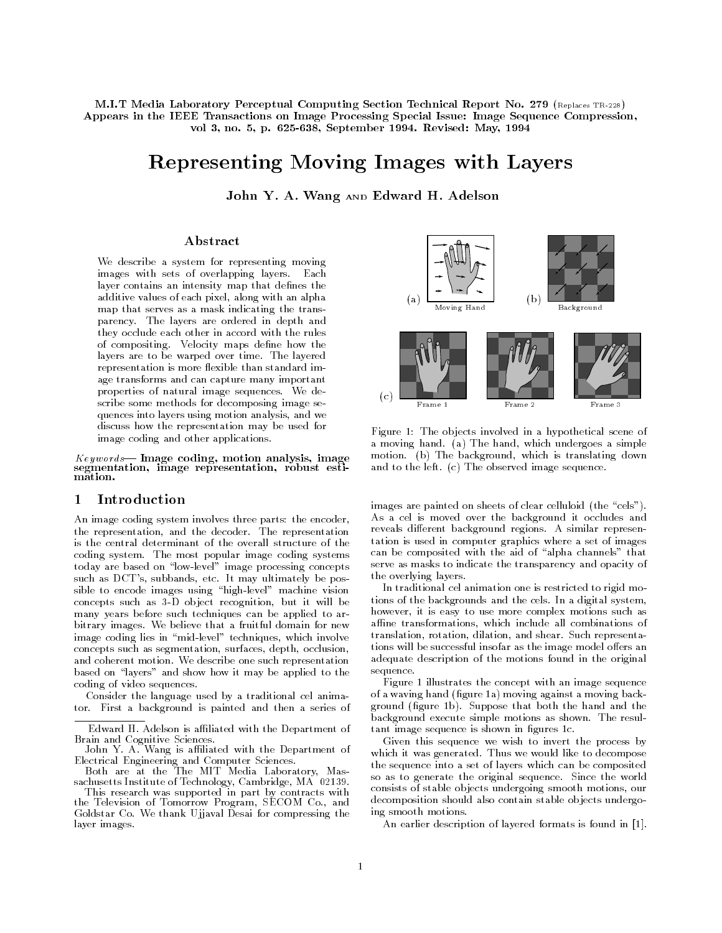M.I.T Media Laboratory Perceptual Computing Section Technical Report No. 279 (Replaces TR-228) Appears in the IEEE Transactions on Image Processing Special Issue: Image Sequence Compression, vol 3, no. 5, p. 625-638, September 1994. Revised: May, 1994

# Representing Moving Images with Layers

John Y. A. Wang AND Edward H. Adelson

### Abstract

We describe a system for representing moving images with sets of overlapping layers. Each layer contains an intensity map that defines the additive values of each pixel, along with an alpha map that serves as a mask indicating the transparency. The layers are ordered in depth and they occlude each other in accord with the rules of compositing. Velocity maps define how the layers are to be warped over time. The layered representation is more flexible than standard image transforms and can capture many important properties of natural image sequences. We describe some methods for decomposing image sequences into layers using motion analysis, and we discuss how the representation may be used for image coding and other applications.

 $Keywords$ - Image coding, motion analysis, image segmentation, image representation, robust esti mation.

An image coding system involves three parts: the encoder, the representation, and the decoder. The representation is the central determinant of the overall structure of the coding system. The most popular image coding systems today are based on "low-level" image processing concepts such as DCT's, subbands, etc. It may ultimately be possible to encode images using  $\mathbf{f}$  and  $\mathbf{f}$  mathematicallely mathematicallel mathematicallel mathematicallel mathematicallel mathematicallel mathematicallel mathematicallel mathematicallel mathematicallel mathemati concepts such as 3-D ob ject recognition, but it will be interested by it will be interested by it will be interested by a state of the state of the state of the state of the state of the state of the state of the state of many years before such techniques can be applied to arbitrary images. We believe that a fruitful domain for new image coding lies in "mid-level" techniques, which involve concepts such as segmentation, surfaces, depth, occlusion, and coherent motion. We describe one such representation based on "layers" and show how it may be applied to the coding of video sequences.

Consider the language used by a traditional cel animator. First a background is painted and then a series of



Figure 1: The ob jects involved in a hypothetical scene of a moving hand. (a) The hand, which undergoes a simple motion. (b) The background, which is translating down and to the left. (c) The observed image sequence.

images are painted on sheets of clear celluloid (the "cels"). As a cel is moved over the background it occludes and reveals different background regions. A similar representation is used in computer graphics where a set of images can be composited with the aid of "alpha channels" that serve as masks to indicate the transparency and opacity of the overlying layers.

In traditional cel animation one is restricted to rigid motions of the backgrounds and the cels. In a digital system, however, it is easy to use more complex motions such as affine transformations, which include all combinations of translation, rotation, dilation, and shear. Such representations will be successful insofar as the image model offers an adequate description of the motions found in the original sequence.

Figure 1 illustrates the concept with an image sequence of a waving hand (figure 1a) moving against a moving background (figure 1b). Suppose that both the hand and the background execute simple motions as shown. The resultant image sequence is shown in figures 1c.

Given this sequence we wish to invert the process by which it was generated. Thus we would like to decompose the sequence into a set of layers which can be composited so as to generate the original sequence. Since the world consists of stable ob jects undergoing smooth motions, our decomposition should also contain stable ob jects undergoing smooth motions.

An earlier description of layered formats is found in [1].

Edward H. Adelson is affiliated with the Department of Brain and Cognitive Sciences.

John Y. A. Wang is affiliated with the Department of Electrical Engineering and Computer Sciences.

Both are at the The MIT Media Laboratory, Massachusetts Institute of Technology, Cambridge, MA 02139.

This research was supported in part by contracts with the Television of Tomorrow Program, SECOM Co., and Goldstar Co. We thank Ujjaval Desai for compressing the layer images.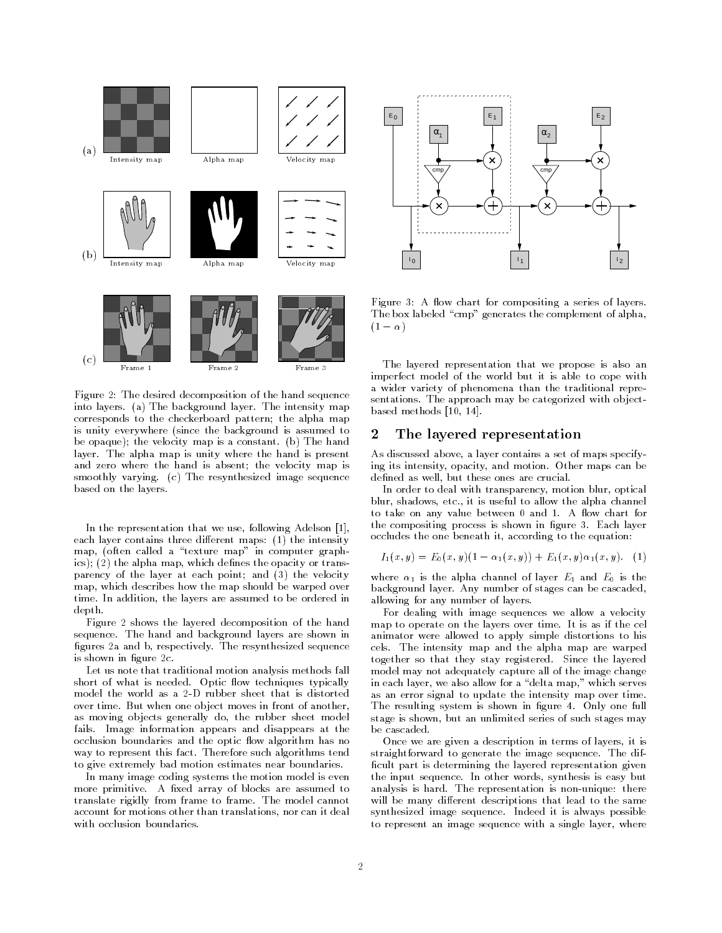

Figure 2: The desired decomposition of the hand sequence into layers. (a) The background layer. The intensity map corresponds to the checkerboard pattern; the alpha map is unity everywhere (since the background is assumed to be opaque); the velocity map is a constant. (b) The hand layer. The alpha map is unity where the hand is present and zero where the hand is absent; the velocity map is smoothly varying. (c) The resynthesized image sequence based on the layers.

In the representation that we use, following Adelson [1], each layer contains three different maps: (1) the intensity map, (often called a "texture map" in computer graphics);  $(2)$  the alpha map, which defines the opacity or transparency of the layer at each point; and (3) the velocity map, which describes how the map should be warped over time. In addition, the layers are assumed to be ordered in depth.

Figure 2 shows the layered decomposition of the hand sequence. The hand and background layers are shown in figures 2a and b, respectively. The resynthesized sequence is shown in figure 2c.

Let us note that traditional motion analysis methods fall short of what is needed. Optic flow techniques typically model the world as a 2-D rubber sheet that is distorted over time. But when one object moves in front of another, as moving objects generally do, the rubber sheet model fails. Image information appears and disappears at the occlusion boundaries and the optic flow algorithm has no way to represent this fact. Therefore such algorithms tend to give extremely bad motion estimates near boundaries.

In many image coding systems the motion model is even more primitive. A fixed array of blocks are assumed to translate rigidly from frame to frame. The model cannot account for motions other than translations, nor can it deal with occlusion boundaries.



Figure 3: A flow chart for compositing a series of layers. The box labeled "cmp" generates the complement of alpha,  $(1 - \alpha)$ 

The layered representation that we propose is also an imperfect model of the world but it is able to cope with a wider variety of phenomena than the traditional representations. The approach may be categorized with objectbased methods [10, 14].

#### The layered representation  $\overline{2}$

As discussed above, a layer contains a set of maps specifying its intensity, opacity, and motion. Other maps can be defined as well, but these ones are crucial.

In order to deal with transparency, motion blur, optical blur, shadows, etc., it is useful to allow the alpha channel blur, shadows, etc., it is useful to allow the alpha channel to allow the alpha channel to allow the alpha cha to take on any value between 0 and 1. A flow chart for the compositing process is shown in figure 3. Each layer occludes the one beneath it, according to the equation:

$$
I_1(x, y) = E_0(x, y)(1 - \alpha_1(x, y)) + E_1(x, y)\alpha_1(x, y). \quad (1)
$$

where  $\alpha_1$  is the alpha channel of layer  $E_1$  and  $E_0$  is the background layer. Any number of stages can be cascaded, allowing for any number of layers.

For dealing with image sequences we allow a velocity map to operate on the layers over time. It is as if the cel animator were allowed to apply simple distortions to his cels. The intensity map and the alpha map are warped together so that they stay registered. Since the layered model may not adequately capture all of the image change in each layer, we also allow for a "delta map," which serves as an error signal to update the intensity map over time. The resulting system is shown in figure 4. Only one full stage is shown, but an unlimited series of such stages may be cascaded.

Once we are given a description in terms of layers, it is straightforward to generate the image sequence. The dif ficult part is determining the layered representation given the input sequence. In other words, synthesis is easy but analysis is hard. The representation is non-unique: there will be many different descriptions that lead to the same synthesized image sequence. Indeed it is always possible to represent an image sequence with a single layer, where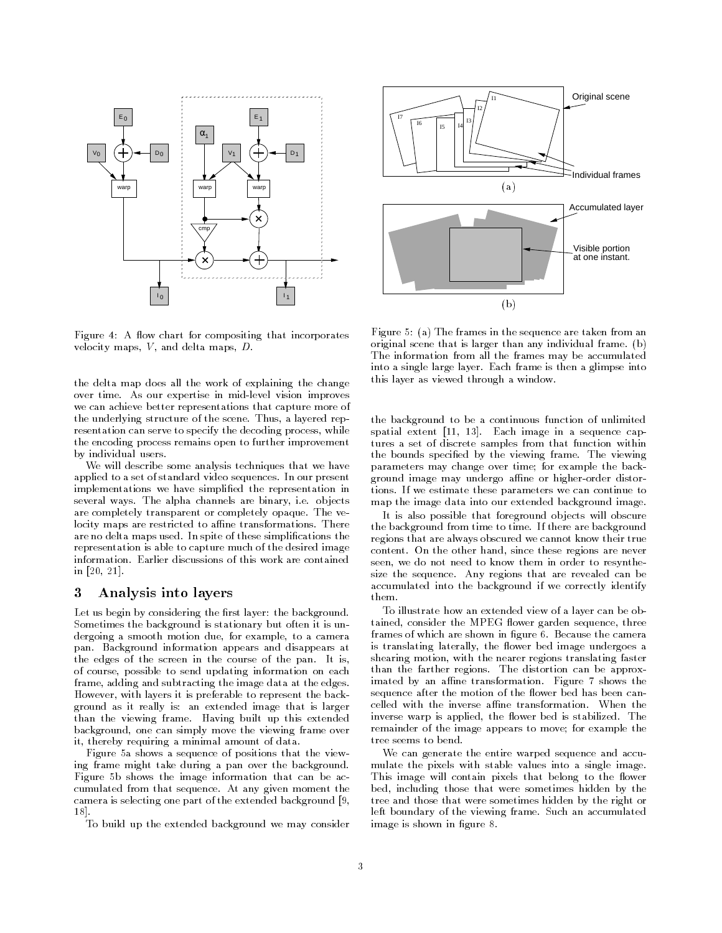



Figure 4: A flow chart for compositing that incorporates velocity maps,  $V$ , and delta maps,  $D$ .

the delta map does all the work of explaining the change over time. As our expertise in mid-level vision improves we can achieve better representations that capture more of the underlying structure of the scene. Thus, a layered representation can serve to specify the decoding process, while the encoding process remains open to further improvement by individual users.

We will describe some analysis techniques that we have applied to a set of standard video sequences. In our present implementations we have simplified the representation in several ways. The alpha channels are binary, i.e. objects are completely transparent or completely opaque. The velocity maps are restricted to affine transformations. There are no delta maps used. In spite of these simplications the representation is able to capture much of the desired image information. Earlier discussions of this work are contained in [20, 21].

#### 3 3 Analysis into layers

Let us begin by considering the first layer: the background. Sometimes the background is stationary but often it is undergoing a smooth motion due, for example, to a camera pan. Background information appears and disappears at the edges of the screen in the course of the pan. It is, of course, possible to send updating information on each frame, adding and subtracting the image data at the edges. However, with layers it is preferable to represent the background as it really is: an extended image that is larger than the viewing frame. Having built up this extended background, one can simply move the viewing frame over it, thereby requiring a minimal amount of data.

Figure 5a shows a sequence of positions that the viewing frame might take during a pan over the background. Figure 5b shows the image information that can be accumulated from that sequence. At any given moment the camera is selecting one part of the extended background [9, 18].

To build up the extended background we may consider

Figure 5: (a) The frames in the sequence are taken from an original scene that is larger than any individual frame. (b) The information from all the frames may be accumulated into a single large layer. Each frame is then a glimpse into this layer as viewed through a window.

the background to be a continuous function of unlimited spatial extent [11, 13]. Each image in a sequence captures a set of discrete samples from that function within the bounds specied by the viewing frame. The viewing parameters may change over time; for example the background image may undergo affine or higher-order distortions. If we estimate these parameters we can continue to map the image data into our extended background image.

It is also possible that foreground objects will obscure the background from time to time. If there are background regions that are always obscured we cannot know their true content. On the other hand, since these regions are never seen, we do not need to know them in order to resynthesize the sequence. Any regions that are revealed can be accumulated into the background if we correctly identify them.

To illustrate how an extended view of a layer can be obtained, consider the MPEG flower garden sequence, three frames of which are shown in figure 6. Because the camera is translating laterally, the flower bed image undergoes a shearing motion, with the nearer regions translating faster than the farther regions. The distortion can be approximated by an affine transformation. Figure 7 shows the sequence after the motion of the flower bed has been cancelled with the inverse affine transformation. When the inverse warp is applied, the flower bed is stabilized. The remainder of the image appears to move; for example the tree seems to bend.

We can generate the entire warped sequence and accu mulate the pixels with stable values into a single image. This image will contain pixels that belong to the flower bed, including those that were sometimes hidden by the tree and those that were sometimes hidden by the right or left boundary of the viewing frame. Such an accumulated image is shown in figure 8.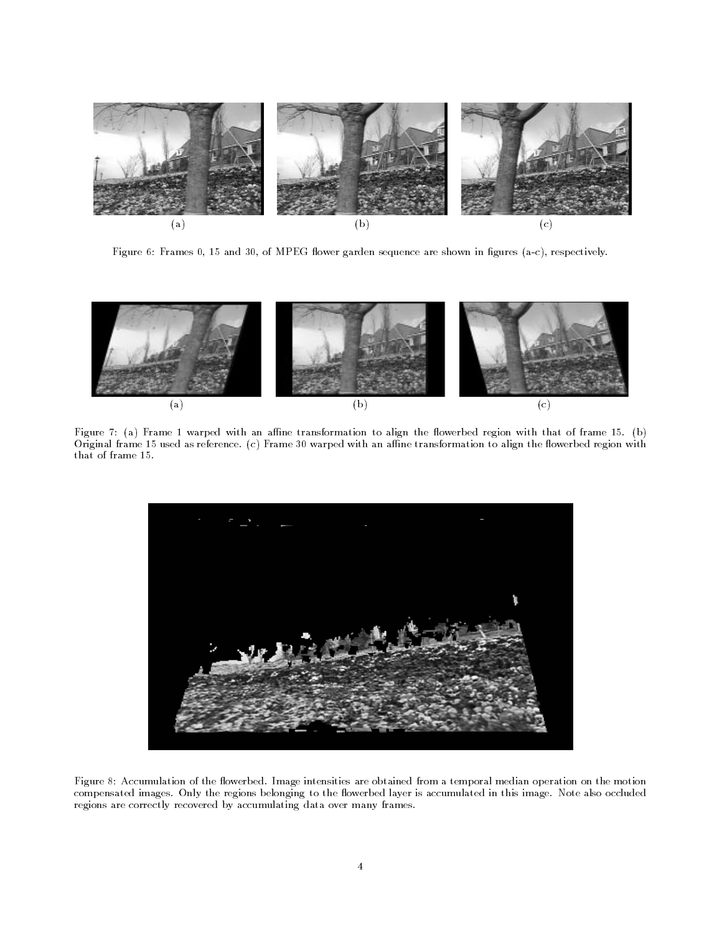

Figure 6: Frames 0, 15 and 30, of MPEG flower garden sequence are shown in figures (a-c), respectively.



Figure 7: (a) Frame 1 warped with an affine transformation to align the flowerbed region with that of frame 15. (b) Original frame 15 used as reference. (c) Frame 30 warped with an affine transformation to align the flowerbed region with that of frame 15.



Figure 8: Accumulation of the flowerbed. Image intensities are obtained from a temporal median operation on the motion compensated images. Only the regions belonging to the flowerbed layer is accumulated in this image. Note also occluded regions are correctly recovered by accumulating data over many frames.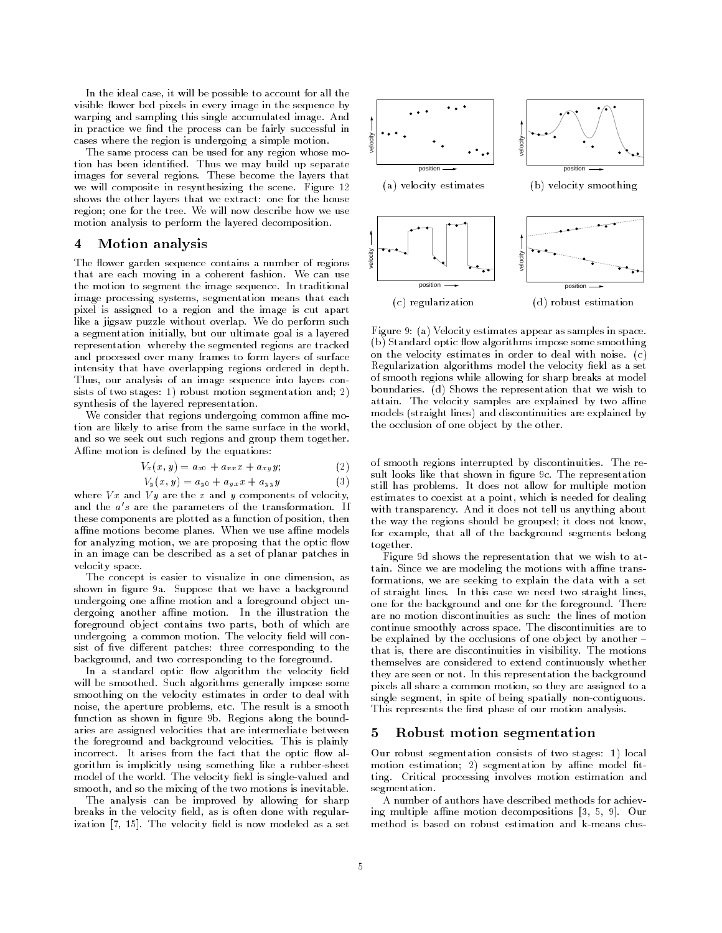In the ideal case, it will be possible to account for all the visible flower bed pixels in every image in the sequence by warping and sampling this single accumulated image. And in practice we find the process can be fairly successful in cases where the region is undergoing a simple motion.

The same process can be used for any region whose motion has been identied. Thus we may build up separate images for several regions. These become the layers that we will composite in resynthesizing the scene. Figure 12 shows the other layers that we extract: one for the house region; one for the tree. We will now describe how we use motion analysis to perform the layered decomposition.

#### $\overline{4}$ Motion analysis

The flower garden sequence contains a number of regions that are each moving in a coherent fashion. We can use the motion to segment the image sequence. In traditional image processing systems, segmentation means that each pixel is assigned to a region and the image is cut apart like a jigsaw puzzle without overlap. We do perform such a segmentation initially, but our ultimate goal is a layered representation whereby the segmented regions are tracked and processed over many frames to form layers of surface intensity that have overlapping regions ordered in depth. Thus, our analysis of an image sequence into layers consists of two stages: 1) robust motion segmentation and; 2) synthesis of the layered representation.

We consider that regions undergoing common affine motion are likely to arise from the same surface in the world, and so we seek out such regions and group them together. Affine motion is defined by the equations:

$$
V_x(x, y) = a_{x0} + a_{xx}x + a_{xy}y;
$$
 (2)

$$
V_y(x, y) = a_{y0} + a_{yx}x + a_{yy}y \tag{3}
$$

where  $Vx$  and  $Vy$  are the x and y components of velocity, and the *a s* are the parameters of the transformation. If these components are plotted as a function of position, then affine motions become planes. When we use affine models for analyzing motion, we are proposing that the optic flow in an image can be described as a set of planar patches in velocity space.

The concept is easier to visualize in one dimension, as shown in figure 9a. Suppose that we have a background undergoing one affine motion and a foreground object undergoing another affine motion. In the illustration the foreground object contains two parts, both of which are undergoing a common motion. The velocity field will consist of five different patches: three corresponding to the background, and two corresponding to the foreground.

In a standard optic flow algorithm the velocity field will be smoothed. Such algorithms generally impose some smoothing on the velocity estimates in order to deal with noise, the aperture problems, etc. The result is a smooth function as shown in figure 9b. Regions along the boundaries are assigned velocities that are intermediate between the foreground and background velocities. This is plainly incorrect. It arises from the fact that the optic flow algorithm is implicitly using something like a rubber-sheet model of the world. The value data world. The value of the value  $\mathbb{R}^n$ smooth, and so the mixing of the two motions is inevitable.

The analysis can be improved by allowing for sharp breaks in the velocity field, as is often done with regularization  $[7, 15]$ . The velocity field is now modeled as a set



Figure 9: (a) Velocity estimates appear as samples in space. (b) Standard optic flow algorithms impose some smoothing on the velocity estimates in order to deal with noise. (c) Regularization algorithms model the velocity field as a set of smooth regions while allowing for sharp breaks at model boundaries. (d) Shows the representation that we wish to attain. The velocity samples are explained by two affine models (straight lines) and discontinuities are explained by the occlusion of one object by the other.

of smooth regions interrupted by discontinuities. The result looks like that shown in figure 9c. The representation still has problems. It does not allow for multiple motion estimates to coexist at a point, which is needed for dealing with transparency. And it does not tell us anything about the way the regions should be grouped; it does not know, for example, that all of the background segments belong together.

Figure 9d shows the representation that we wish to attain. Since we are modeling the motions with affine transformations, we are seeking to explain the data with a set of straight lines. In this case we need two straight lines, one for the background and one for the foreground. There are no motion discontinuities as such: the lines of motion continue smoothly across space. The discontinuities are to be explained by the occlusions of one object by another that is, there are discontinuities in visibility. The motions themselves are considered to extend continuously whether they are seen or not. In this representation the background pixels all share a common motion, so they are assigned to a single segment, in spite of being spatially non-contiguous. This represents the first phase of our motion analysis.

### 5 Robust motion segmentation

Our robust segmentation consists of two stages: 1) local motion estimation; 2) segmentation by affine model fitting. Critical processing involves motion estimation and segmentation. segmentation.

A number of authors have described methods for achieving multiple affine motion decompositions  $[3, 5, 9]$ . Our method is based on robust estimation and k-means clus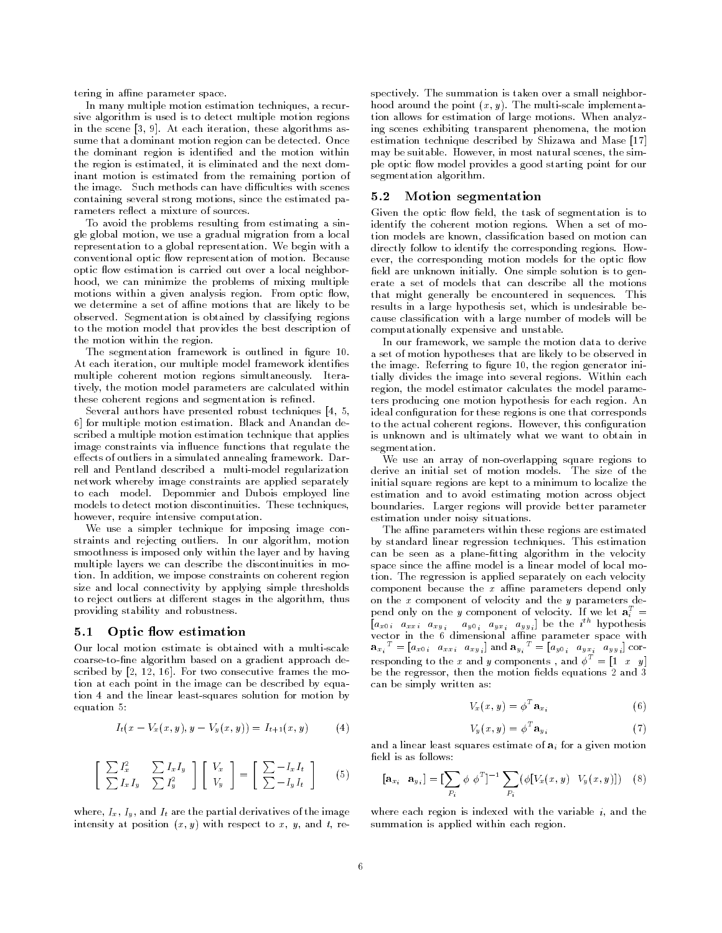tering in affine parameter space.

In many multiple motion estimation techniques, a recursive algorithm is used is to detect multiple motion regions in the scene [3, 9]. At each iteration, these algorithms assume that a dominant motion region can be detected. Once the dominant region is identied and the motion within the region is estimated, it is eliminated and the next dominant motion is estimated from the remaining portion of the image. Such methods can have difficulties with scenes containing several strong motions, since the estimated parameters reflect a mixture of sources.

To avoid the problems resulting from estimating a single global motion, we use a gradual migration from a local representation to a global representation. We begin with a conventional optic flow representation of motion. Because optic flow estimation is carried out over a local neighborhood, we can minimize the problems of mixing multiple motions within a given analysis region. From optic flow, we determine a set of affine motions that are likely to be observed. Segmentation is obtained by classifying regions to the motion model that provides the best description of the motion within the region.

The segmentation framework is outlined in figure 10. At each iteration, our multiple model framework identifies multiple coherent motion regions simultaneously. Iteratively, the motion model parameters are calculated within these coherent regions and segmentation is refined.

Several authors have presented robust techniques [4, 5, 6] for multiple motion estimation. Black and Anandan described a multiple motion estimation technique that applies image constraints via influence functions that regulate the effects of outliers in a simulated annealing framework. Darrell and Pentland described a multi-model regularization network whereby image constraints are applied separately to each model. Depommier and Dubois employed line models to detect motion discontinuities. These techniques, however, require intensive computation.

We use a simpler technique for imposing image constraints and rejecting outliers. In our algorithm, motion smoothness is imposed only within the layer and by having multiple layers we can describe the discontinuities in motion. In addition, we impose constraints on coherent region size and local connectivity by applying simple thresholds to reject outliers at different stages in the algorithm, thus providing stability and robustness.

#### 5.1 Optic flow estimation

Our local motion estimate is obtained with a multi-scale coarse-to-fine algorithm based on a gradient approach described by [2, 12, 16]. For two consecutive frames the motion at each point in the image can be described by equation 4 and the linear least-squares solution for motion by equation 5:

$$
I_t(x - V_x(x, y), y - V_y(x, y)) = I_{t+1}(x, y)
$$
 (4)

$$
\left[\begin{array}{cc} \sum I_x^2 & \sum I_x I_y \\ \sum I_x I_y & \sum I_y^2 \end{array}\right] \left[\begin{array}{c} V_x \\ V_y \end{array}\right] = \left[\begin{array}{c} \sum -I_x I_t \\ \sum -I_y I_t \end{array}\right] \tag{5}
$$

where,  $I_x$ ,  $I_y$ , and  $I_t$  are the partial derivatives of the image intensity at position  $(x, y)$  with respect to x, y, and t, respectively. The summation is taken over a small neighborhood around the point  $(x, y)$ . The multi-scale implementation allows for estimation of large motions. When analyzing scenes exhibiting transparent phenomena, the motion estimation technique described by Shizawa and Mase [17] may be suitable. However, in most natural scenes, the simple optic flow model provides a good starting point for our segmentation algorithm.

#### 5.2 Motion segmentation

Given the optic flow field, the task of segmentation is to identify the coherent motion regions. When a set of motion models are known, classication based on motion can directly follow to identify the corresponding regions. However, the corresponding motion models for the optic flow field are unknown initially. One simple solution is to generate a set of models that can describe all the motions that might generally be encountered in sequences. This results in a large hypothesis set, which is undesirable because classication with a large number of models will be computationally expensive and unstable.

In our framework, we sample the motion data to derive a set of motion hypotheses that are likely to be observed in the image. Referring to figure 10, the region generator initially divides the image into several regions. Within each region, the model estimator calculates the model parameters producing one motion hypothesis for each region. An ideal configuration for these regions is one that corresponds to the actual coherent regions. However, this configuration is unknown and is ultimately what we want to obtain in segmentation.

We use an array of non-overlapping square regions to derive an initial set of motion models. The size of the initial square regions are kept to a minimum to localize the estimation and to avoid estimating motion across object boundaries. Larger regions will provide better parameter estimation under noisy situations.

The affine parameters within these regions are estimated by standard linear regression techniques. This estimation can be seen as a plane-fitting algorithm in the velocity space since the affine model is a linear model of local motion. The regression is applied separately on each velocity component because the  $x$  affine parameters depend only on the  $x$  component of velocity and the  $y$  parameters depend only on the  $y$  component of velocity. If we let  $\mathbf{a}_i^{\perp} = \mathbf{a}_i$  $[a_{x0i} \quad a_{xxi} \quad a_{xyi} \quad a_{y0i} \quad a_{yxi} \quad a_{yyi}]$  be the  $i^{th}$  hypothesis vector in the 6 dimensional ane parameter space with the 6 dimensional ane parameter space with the 6 dimension  $\mathbf{a}_{x_i}$  =  $[a_{x0_i} \quad a_{xx_i} \quad a_{xy_i}]$  and  $\mathbf{a}_{y_i}$  =  $[a_{y0_i} \quad a_{yx_i} \quad a_{yy_i}]$  corresponding to the x and y components , and  $\phi^T = [1 \quad x \quad y]$ be the regressor, then the motion fields equations 2 and 3 can be simply written as:

$$
V_x(x, y) = \phi^T \mathbf{a}_{x_i} \tag{6}
$$

$$
V_y(x, y) = \phi^T \mathbf{a}_{y_i} \tag{7}
$$

and a linear least squares estimate of  $a_i$  for a given motion field is as follows:

$$
[\mathbf{a}_{x_i} \quad \mathbf{a}_{y_i}] = [\sum_{P_i} \phi \ \phi^T]^{-1} \sum_{P_i} (\phi[V_x(x, y) \quad V_y(x, y)]) \quad (8)
$$

where each region is indexed with the variable  $i$ , and the summation is applied within each region.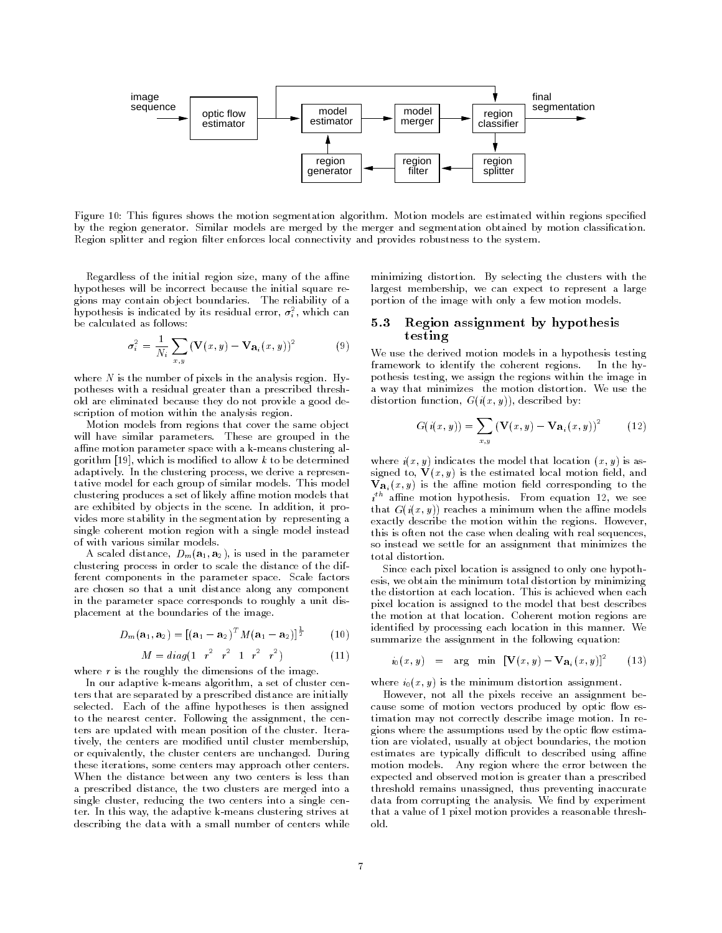

Figure 10: This figures shows the motion segmentation algorithm. Motion models are estimated within regions specified by the region generator. Similar models are merged by the merger and segmentation obtained by motion classication. Region splitter and region lter enforces local connectivity and provides robustness to the system.

Regardless of the initial region size, many of the affine hypotheses will be incorrect because the initial square regions may contain ob ject boundaries. The reliability of a nypothesis is indicated by its residual error,  $\sigma_i$  , which can be calculated as follows:

$$
\sigma_i^2 = \frac{1}{N_i} \sum_{x,y} \left( \mathbf{V}(x,y) - \mathbf{V} \mathbf{a}_i(x,y) \right)^2 \tag{9}
$$

where N is the number of pixels in the analysis region. Hypotheses with a residual greater than a prescribed threshold are eliminated because they do not provide a good description of motion within the analysis region.

Motion models from regions that cover the same ob ject will have similar parameters. These are grouped in the affine motion parameter space with a k-means clustering algorithm [19], which is modified to allow  $k$  to be determined adaptively. In the clustering process, we derive a representative model for each group of similar models. This model clustering produces a set of likely affine motion models that are exhibited by ob jects in the scene. In addition, it provides more stability in the segmentation by representing a single coherent motion region with a single model instead of with various similar models.

A scaled distance,  $D_m(\mathbf{a}_1, \mathbf{a}_2)$ , is used in the parameter clustering process in order to scale the distance of the different components in the parameter space. Scale factors are chosen so that a unit distance along any component in the parameter space corresponds to roughly a unit displacement at the boundaries of the image.

$$
D_m(\mathbf{a}_1, \mathbf{a}_2) = [(\mathbf{a}_1 - \mathbf{a}_2)^T M (\mathbf{a}_1 - \mathbf{a}_2)]^{\frac{1}{2}}
$$
 (10)

$$
M = diag(1 \ r^2 \ r^2 \ 1 \ r^2 \ r^2)
$$
 (11)

where  $r$  is the roughly the dimensions of the image.

In our adaptive k-means algorithm, a set of cluster centers that are separated by a prescribed distance are initially selected. Each of the affine hypotheses is then assigned to the nearest center. Following the assignment, the centers are updated with mean position of the cluster. Iteratively, the centers are modified until cluster membership, or equivalently, the cluster centers are unchanged. During these iterations, some centers may approach other centers. When the distance between any two centers is less than a prescribed distance, the two clusters are merged into a single cluster, reducing the two centers into a single center. In this way, the adaptive k-means clustering strives at describing the data with a small number of centers while

minimizing distortion. By selecting the clusters with the largest membership, we can expect to represent a large portion of the image with only a few motion models.

#### 5.3 Region assignment by hypothesis testing

We use the derived motion models in a hypothesis testing framework to identify the coherent regions. In the hypothesis testing, we assign the regions within the image in a way that minimizes the motion distortion. We use the distortion function,  $G(i(x, y))$ , described by:

$$
G(i(x, y)) = \sum_{x, y} \left( \mathbf{V}(x, y) - \mathbf{V} \mathbf{a}_i(x, y) \right)^2 \tag{12}
$$

where  $i(x, y)$  indicates the model that location  $(x, y)$  is assigned to,  $\dot{\mathbf{V}}(x, y)$  is the estimated local motion field, and  $\mathbf{Va}_i(x,y)$  is the affine motion field corresponding to the  $i^{tn}$  affine motion hypothesis. From equation 12, we see that  $G(i(x, y))$  reaches a minimum when the affine models exactly describe the motion within the regions. However, this is often not the case when dealing with real sequences, so instead we settle for an assignment that minimizes the total distortion.

Since each pixel location is assigned to only one hypothesis, we obtain the minimum total distortion by minimizing the distortion at each location. This is achieved when each pixel location is assigned to the model that best describes the motion at that location. Coherent motion regions are identied by processing each location in this manner. We summarize the assignment in the following equation:

$$
i_0(x, y) = \arg \min [\mathbf{V}(x, y) - \mathbf{V}_{\mathbf{a}_i}(x, y)]^2 \qquad (13)
$$

where  $i_0(x, y)$  is the minimum distortion assignment.

However, not all the pixels receive an assignment because some of motion vectors produced by optic flow estimation may not correctly describe image motion. In regions where the assumptions used by the optic flow estimation are violated, usually at object boundaries, the motion estimates are typically difficult to described using affine motion models. Any region where the error between the expected and observed motion is greater than a prescribed threshold remains unassigned, thus preventing inaccurate data from corrupting the analysis. We find by experiment that a value of 1 pixel motion provides a reasonable threshold.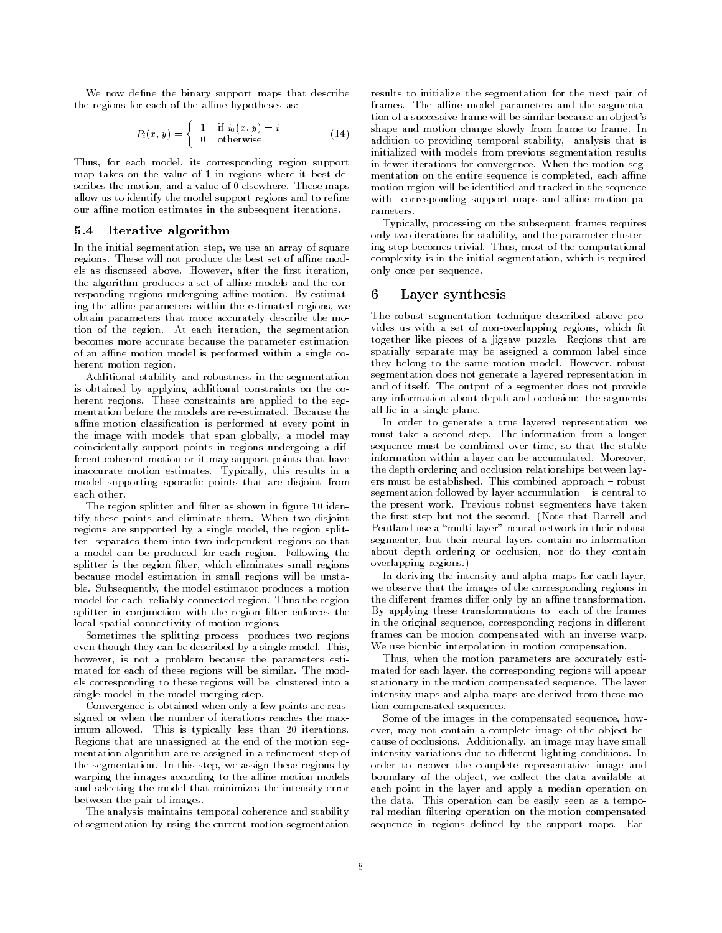We now define the binary support maps that describe the regions for each of the affine hypotheses as:

$$
P_i(x,y) = \begin{cases} 1 & \text{if } i_0(x,y) = i \\ 0 & \text{otherwise} \end{cases}
$$
 (14)

Thus, for each model, its corresponding region support map takes on the value of 1 in regions where it best describes the motion, and a value of 0 elsewhere. These maps allow us to identify the model support regions and to refine our affine motion estimates in the subsequent iterations.

#### 5.4 Iterative algorithm

In the initial segmentation step, we use an array of square regions. These will not produce the best set of affine models as discussed above. However, after the first iteration, the algorithm produces a set of affine models and the corresponding regions undergoing affine motion. By estimating the affine parameters within the estimated regions, we obtain parameters that more accurately describe the motion of the region. At each iteration, the segmentation becomes more accurate because the parameter estimation of an affine motion model is performed within a single coherent motion region.

Additional stability and robustness in the segmentation is obtained by applying additional constraints on the coherent regions. These constraints are applied to the seg mentation before the models are re-estimated. Because the affine motion classification is performed at every point in the image with models that span globally, a model may coincidentally support points in regions undergoing a different coherent motion or it may support points that have inaccurate motion estimates. Typically, this results in a model supporting sporadic points that are disjoint from each other.

The region splitter and filter as shown in figure 10 identify these points and eliminate them. When two disjoint regions are supported by a single model, the region splitter separates them into two independent regions so that a model can be produced for each region. Following the splitter is the region filter, which eliminates small regions because model estimation in small regions will be unstable. Subsequently, the model estimator produces a motion model for each reliably connected region. Thus the region splitter in conjunction with the region filter enforces the local spatial connectivity of motion regions.

Sometimes the splitting process produces two regions even though they can be described by a single model. This, however, is not a problem because the parameters estimated for each of these regions will be similar. The models corresponding to these regions will be clustered into a single model in the model merging step.

Convergence is obtained when only a few points are reassigned or when the number of iterations reaches the maximum allowed. This is typically less than 20 iterations. Regions that are unassigned at the end of the motion seg mentation algorithm are re-assigned in a refinement step of the segmentation. In this step, we assign these regions by warping the images according to the affine motion models and selecting the model that minimizes the intensity error between the pair of images.

The analysis maintains temporal coherence and stability of segmentation by using the current motion segmentation results to initialize the segmentation for the next pair of frames. The affine model parameters and the segmentation of a successive frame will be similar because an ob ject's shape and motion change slowly from frame to frame. In addition to providing temporal stability, analysis that is initialized with models from previous segmentation results in fewer iterations for convergence. When the motion seg mentation on the entire sequence is completed, each affine motion region will be identified and tracked in the sequence with corresponding support maps and affine motion parameters

Typically, processing on the subsequent frames requires only two iterations for stability, and the parameter clustering step becomes trivial. Thus, most of the computational complexity is in the initial segmentation, which is required only once per sequence.

#### 6 Layer synthesis

The robust segmentation technique described above provides us with a set of non-overlapping regions, which fit together like pieces of a jigsaw puzzle. Regions that are spatially separate may be assigned a common label since they belong to the same motion model. However, robust segmentation does not generate a layered representation in and of itself. The output of a segmenter does not provide any information about depth and occlusion: the segments all lie in a single plane.

In order to generate a true layered representation we must take a second step. The information from a longer sequence must be combined over time, so that the stable information within a layer can be accumulated. Moreover, the depth ordering and occlusion relationships between layers must be established. This combined approach  $-$  robust segmentation followed by layer accumulation – is central to the present work. Previous robust segmenters have taken the first step but not the second. (Note that Darrell and Pentland use a "multi-layer" neural network in their robust segmenter, but their neural layers contain no information about depth ordering or occlusion, nor do they contain overlapping regions.)

In deriving the intensity and alpha maps for each layer, we observe that the images of the corresponding regions in the different frames differ only by an affine transformation. By applying these transformations to each of the frames in the original sequence, corresponding regions in different frames can be motion compensated with an inverse warp. We use bicubic interpolation in motion compensation.

Thus, when the motion parameters are accurately estimated for each layer, the corresponding regions will appear stationary in the motion compensated sequence. The layer intensity maps and alpha maps are derived from these motion compensated sequences.

Some of the images in the compensated sequence, however, may not contain a complete image of the object because of occlusions. Additionally, an image may have small intensity variations due to different lighting conditions. In order to recover the complete representative image and boundary of the ob ject, we collect the data available at each point in the layer and apply a median operation on the data. This operation can be easily seen as a temporal median filtering operation on the motion compensated sequence in regions defined by the support maps. Ear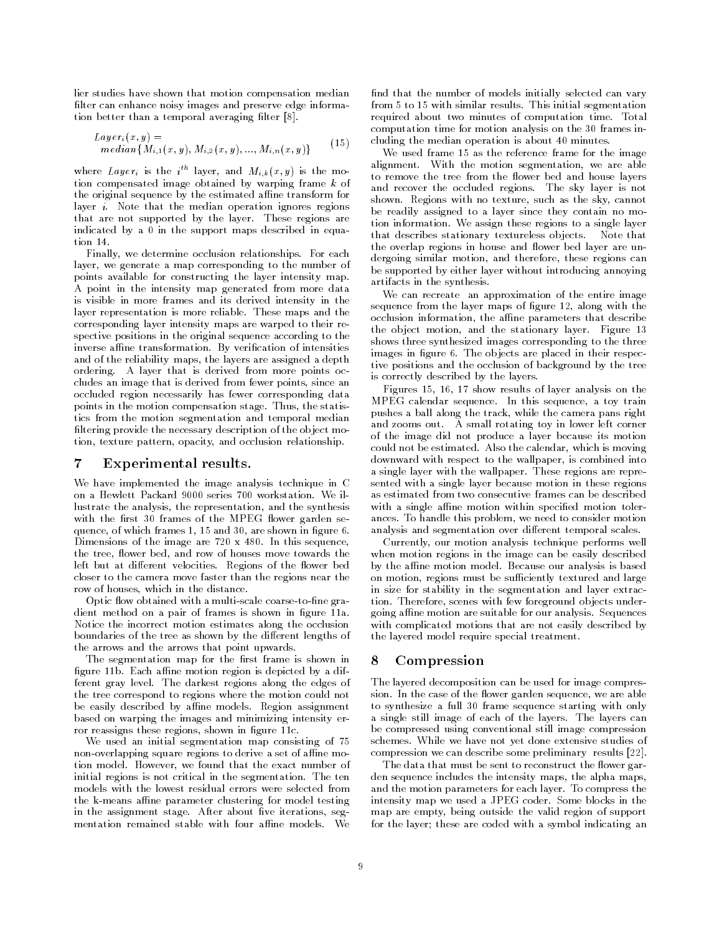lier studies have shown that motion compensation median filter can enhance noisy images and preserve edge information better than a temporal averaging filter [8].

$$
Layer_i(x, y) = \nmedian\{M_{i,1}(x, y), M_{i,2}(x, y), ..., M_{i,n}(x, y)\}
$$
\n(15)

where Layer, is the i<sup>th</sup> layer, and  $M_{i,k}(x,y)$  is the motion compensated image obtained by warping frame k of the original sequence by the estimated affine transform for layer i. Note that the median operation ignores regions that are not supported by the layer. These regions are indicated by a 0 in the support maps described in equation 14.

Finally, we determine occlusion relationships. For each layer, we generate a map corresponding to the number of points available for constructing the layer intensity map. A point in the intensity map generated from more data is visible in more frames and its derived intensity in the layer representation is more reliable. These maps and the corresponding layer intensity maps are warped to their respective positions in the original sequence according to the inverse affine transformation. By verification of intensities and of the reliability maps, the layers are assigned a depth ordering. A layer that is derived from more points occludes an image that is derived from fewer points, since an occluded region necessarily has fewer corresponding data points in the motion compensation stage. Thus, the statistics from the motion segmentation and temporal median filtering provide the necessary description of the object motion, texture pattern, opacity, and occlusion relationship.

### 7 Experimental results.

We have implemented the image analysis technique in C on a Hewlett Packard 9000 series 700 workstation. We illustrate the analysis, the representation, and the synthesis with the first 30 frames of the MPEG flower garden sequence, of which frames 1, 15 and 30, are shown in figure 6. Dimensions of the image are 720 x 480. In this sequence, the tree, flower bed, and row of houses move towards the left but at different velocities. Regions of the flower bed closer to the camera move faster than the regions near the row of houses, which in the distance.

Optic flow obtained with a multi-scale coarse-to-fine gradient method on a pair of frames is shown in figure 11a. Notice the incorrect motion estimates along the occlusion boundaries of the tree as shown by the different lengths of the arrows and the arrows that point upwards.

The segmentation map for the first frame is shown in figure 11b. Each affine motion region is depicted by a different gray level. The darkest regions along the edges of the tree correspond to regions where the motion could not be easily described by affine models. Region assignment based on warping the images and minimizing intensity error reassigns these regions, shown in figure 11c.

We used an initial segmentation map consisting of 75 non-overlapping square regions to derive a set of affine motion model. However, we found that the exact number of initial regions is not critical in the segmentation. The ten models with the lowest residual errors were selected from the k-means affine parameter clustering for model testing in the assignment stage. After about ve iterations, seg mentation remained stable with four affine models. We

find that the number of models initially selected can vary from 5 to 15 with similar results. This initial segmentation required about two minutes of computation time. Total computation time for motion analysis on the 30 frames including the median operation is about 40 minutes.

was the frame is the reference frame for the image alignment. With the motion segmentation, we are able to remove the tree from the flower bed and house layers and recover the occluded regions. The sky layer is not shown. Regions with no texture, such as the sky, cannot be readily assigned to a layer since they contain no motion information. We assign these regions to a single layer that describes stationary textureless ob jects. Note that the overlap regions in house and flower bed layer are undergoing similar motion, and therefore, these regions can be supported by either layer without introducing annoying artifacts in the synthesis.

We can recreate an approximation of the entire image sequence from the layer maps of figure 12, along with the occlusion information, the affine parameters that describe the ob ject motion, and the stationary layer. Figure 13 shows three synthesized images corresponding to the three images in figure 6. The objects are placed in their respective positions and the occlusion of background by the tree is correctly described by the layers.

Figures 15, 16, 17 show results of layer analysis on the MPEG calendar sequence. In this sequence, a toy train pushes a ball along the track, while the camera pans right and zooms out. A small rotating toy in lower left corner of the image did not produce a layer because its motion could not be estimated. Also the calendar, which is moving downward with respect to the wallpaper, is combined into a single layer with the wallpaper. These regions are represented with a single layer because motion in these regions as estimated from two consecutive frames can be described with a single affine motion within specified motion tolerances. To handle this problem, we need to consider motion analysis and segmentation over different temporal scales.

Currently, our motion analysis technique performs well when motion regions in the image can be easily described by the affine motion model. Because our analysis is based on motion, regions must be sufficiently textured and large in size for stability in the segmentation and layer extraction. Therefore, scenes with few foreground objects undergoing affine motion are suitable for our analysis. Sequences with complicated motions that are not easily described by the layered model require special treatment.

### 8 Compression

The layered decomposition can be used for image compression. In the case of the flower garden sequence, we are able to synthesize a full 30 frame sequence starting with only a single still image of each of the layers. The layers can be compressed using conventional still image compression schemes. While we have not yet done extensive studies of compression we can describe some preliminary results [22].

The data that must be sent to reconstruct the flower garden sequence includes the intensity maps, the alpha maps, and the motion parameters for each layer. To compress the intensity map we used a JPEG coder. Some blocks in the map are empty, being outside the valid region of support for the layer; these are coded with a symbol indicating an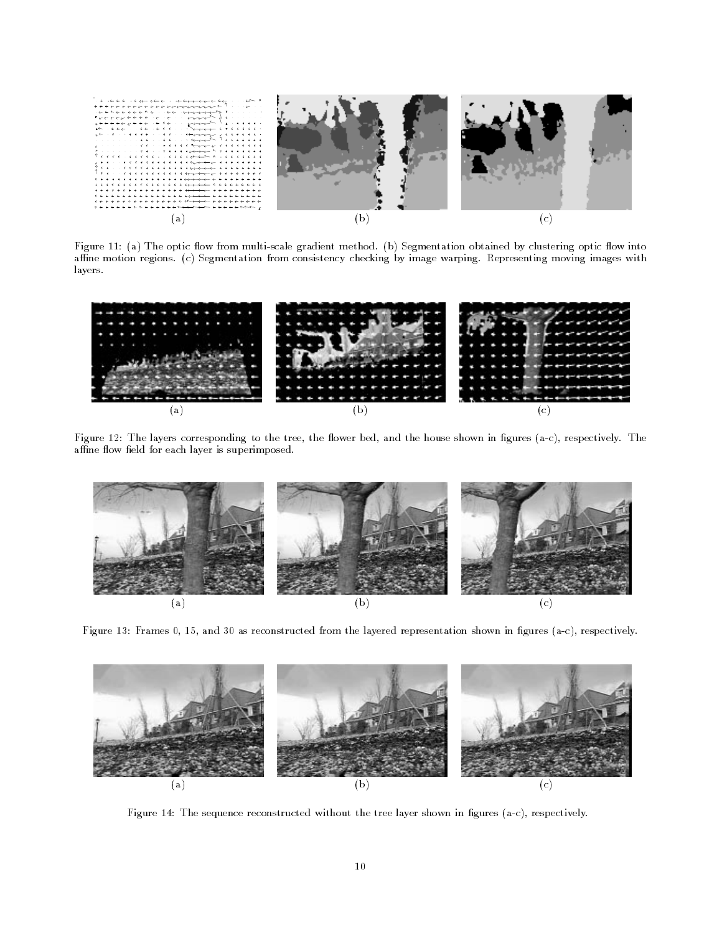

Figure 11: (a) The optic flow from multi-scale gradient method. (b) Segmentation obtained by clustering optic flow into affine motion regions. (c) Segmentation from consistency checking by image warping. Representing moving images with layers.



Figure 12: The layers corresponding to the tree, the flower bed, and the house shown in figures (a-c), respectively. The affine flow field for each layer is superimposed.



Figure 13: Frames 0, 15, and 30 as reconstructed from the layered representation shown in figures (a-c), respectively.



Figure 14: The sequence reconstructed without the tree layer shown in figures (a-c), respectively.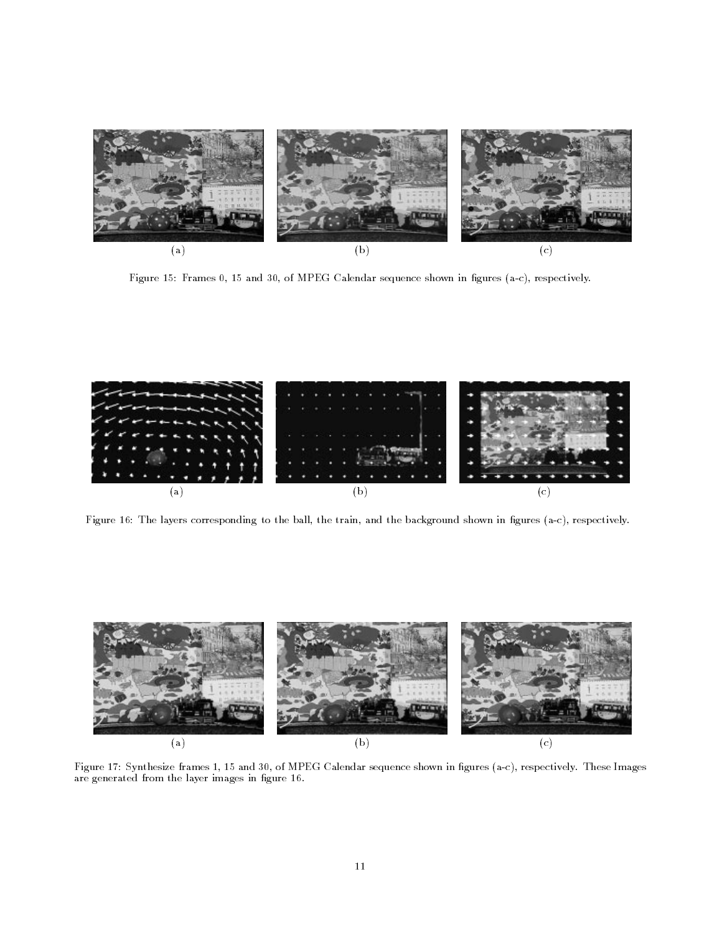

Figure 15: Frames 0, 15 and 30, of MPEG Calendar sequence shown in figures (a-c), respectively.



Figure 16: The layers corresponding to the ball, the train, and the background shown in figures (a-c), respectively.



Figure 17: Synthesize frames 1, 15 and 30, of MPEG Calendar sequence shown in gures (a-c), respectively. These Images are generated from the layer images in figure 16.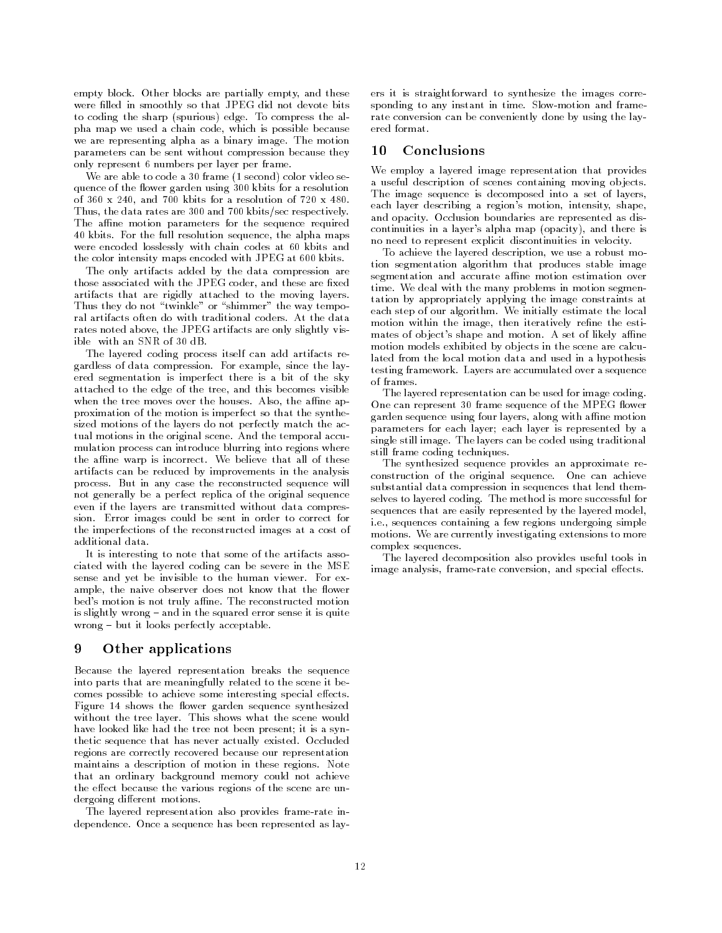empty block. Other blocks are partially empty, and these were filled in smoothly so that JPEG did not devote bits to coding the sharp (spurious) edge. To compress the alpha map we used a chain code, which is possible because we are representing alpha as a binary image. The motion parameters can be sent without compression because they only represent 6 numbers per layer per frame.

We are able to code a 30 frame (1 second) color video sequence of the flower garden using 300 kbits for a resolution of 360 x 240, and 700 kbits for a resolution of 720 x 480. Thus, the data rates are 300 and 700 kbits/sec respectively. The affine motion parameters for the sequence required 40 kbits. For the full resolution sequence, the alpha maps were encoded losslessly with chain codes at 60 kbits and the color intensity maps encoded with JPEG at 600 kbits.

The only artifacts added by the data compression are those associated with the JPEG coder, and these are fixed artifacts that are rigidly attached to the moving layers. Thus they do not "twinkle" or "shimmer" the way temporal artifacts often do with traditional coders. At the data rates noted above, the JPEG artifacts are only slightly visible with an SNR of 30 dB.

The layered coding process itself can add artifacts regardless of data compression. For example, since the layered segmentation is imperfect there is a bit of the sky attached to the edge of the tree, and this becomes visible when the tree moves over the houses. Also, the affine approximation of the motion is imperfect so that the synthesized motions of the layers do not perfectly match the actual motions in the original scene. And the temporal accu mulation process can introduce blurring into regions where the affine warp is incorrect. We believe that all of these artifacts can be reduced by improvements in the analysis process. But in any case the reconstructed sequence will not generally be a perfect replica of the original sequence even if the layers are transmitted without data compression. Error images could be sent in order to correct for the imperfections of the reconstructed images at a cost of additional data.

It is interesting to note that some of the artifacts associated with the layered coding can be severe in the MSE sense and yet be invisible to the human viewer. For example, the naive observer does not know that the flower bed's motion is not truly affine. The reconstructed motion is slightly wrong - and in the squared error sense it is quite wrong  $-$  but it looks perfectly acceptable.

### 9 Other applications

Because the layered representation breaks the sequence into parts that are meaningfully related to the scene it becomes possible to achieve some interesting special effects. Figure 14 shows the flower garden sequence synthesized without the tree layer. This shows what the scene would have looked like had the tree not been present; it is a synthetic sequence that has never actually existed. Occluded regions are correctly recovered because our representation maintains a description of motion in these regions. Note that an ordinary background memory could not achieve the effect because the various regions of the scene are undergoing different motions.

The layered representation also provides frame-rate independence. Once a sequence has been represented as layers it is straightforward to synthesize the images corresponding to any instant in time. Slow-motion and framerate conversion can be conveniently done by using the layered format.

## 10 Conclusions

We employ a layered image representation that provides a useful description of scenes containing moving objects. The image sequence is decomposed into a set of layers, each layer describing a region's motion, intensity, shape, and opacity. Occlusion boundaries are represented as discontinuities in a layer's alpha map (opacity), and there is no need to represent explicit discontinuities in velocity.

To achieve the layered description, we use a robust motion segmentation algorithm that produces stable image segmentation and accurate affine motion estimation over time. We deal with the many problems in motion segmentation by appropriately applying the image constraints at each step of our algorithm. We initially estimate the local motion within the image, then iteratively refine the estimates of object's shape and motion. A set of likely affine motion models exhibited by objects in the scene are calculated from the local motion data and used in a hypothesis testing framework. Layers are accumulated over a sequence of frames.

The layered representation can be used for image coding. One can represent 30 frame sequence of the MPEG flower garden sequence using four layers, along with affine motion parameters for each layer; each layer is represented by a single still image. The layers can be coded using traditional still frame coding techniques.

The synthesized sequence provides an approximate reconstruction of the original sequence. One can achieve substantial data compression in sequences that lend themselves to layered coding. The method is more successful for sequences that are easily represented by the layered model, i.e., sequences containing a few regions undergoing simple motions. We are currently investigating extensions to more complex sequences.

The layered decomposition also provides useful tools in image analysis, frame-rate conversion, and special effects.